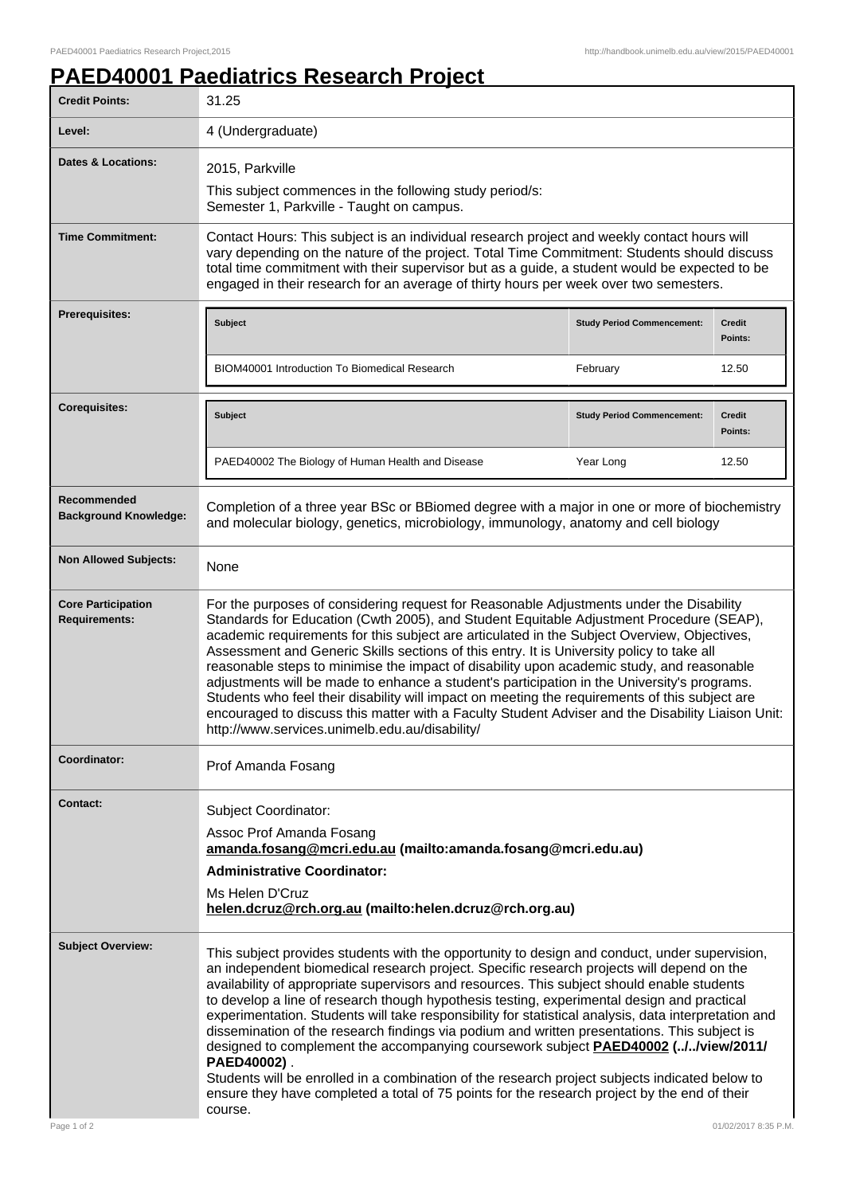1

## **PAED40001 Paediatrics Research Project**

| <b>Credit Points:</b>                             | 31.25                                                                                                                                                                                                                                                                                                                                                                                                                                                                                                                                                                                                                                                                                                                                                                                                                                                                                                              |                                   |                          |
|---------------------------------------------------|--------------------------------------------------------------------------------------------------------------------------------------------------------------------------------------------------------------------------------------------------------------------------------------------------------------------------------------------------------------------------------------------------------------------------------------------------------------------------------------------------------------------------------------------------------------------------------------------------------------------------------------------------------------------------------------------------------------------------------------------------------------------------------------------------------------------------------------------------------------------------------------------------------------------|-----------------------------------|--------------------------|
| Level:                                            | 4 (Undergraduate)                                                                                                                                                                                                                                                                                                                                                                                                                                                                                                                                                                                                                                                                                                                                                                                                                                                                                                  |                                   |                          |
| <b>Dates &amp; Locations:</b>                     | 2015, Parkville<br>This subject commences in the following study period/s:<br>Semester 1, Parkville - Taught on campus.                                                                                                                                                                                                                                                                                                                                                                                                                                                                                                                                                                                                                                                                                                                                                                                            |                                   |                          |
| <b>Time Commitment:</b>                           | Contact Hours: This subject is an individual research project and weekly contact hours will<br>vary depending on the nature of the project. Total Time Commitment: Students should discuss<br>total time commitment with their supervisor but as a guide, a student would be expected to be<br>engaged in their research for an average of thirty hours per week over two semesters.                                                                                                                                                                                                                                                                                                                                                                                                                                                                                                                               |                                   |                          |
| <b>Prerequisites:</b>                             | Subject                                                                                                                                                                                                                                                                                                                                                                                                                                                                                                                                                                                                                                                                                                                                                                                                                                                                                                            | <b>Study Period Commencement:</b> | <b>Credit</b><br>Points: |
|                                                   | BIOM40001 Introduction To Biomedical Research                                                                                                                                                                                                                                                                                                                                                                                                                                                                                                                                                                                                                                                                                                                                                                                                                                                                      | February                          | 12.50                    |
| <b>Corequisites:</b>                              | <b>Subject</b>                                                                                                                                                                                                                                                                                                                                                                                                                                                                                                                                                                                                                                                                                                                                                                                                                                                                                                     | <b>Study Period Commencement:</b> | Credit<br>Points:        |
|                                                   | PAED40002 The Biology of Human Health and Disease                                                                                                                                                                                                                                                                                                                                                                                                                                                                                                                                                                                                                                                                                                                                                                                                                                                                  | Year Long                         | 12.50                    |
| Recommended<br><b>Background Knowledge:</b>       | Completion of a three year BSc or BBiomed degree with a major in one or more of biochemistry<br>and molecular biology, genetics, microbiology, immunology, anatomy and cell biology                                                                                                                                                                                                                                                                                                                                                                                                                                                                                                                                                                                                                                                                                                                                |                                   |                          |
| <b>Non Allowed Subjects:</b>                      | None                                                                                                                                                                                                                                                                                                                                                                                                                                                                                                                                                                                                                                                                                                                                                                                                                                                                                                               |                                   |                          |
| <b>Core Participation</b><br><b>Requirements:</b> | For the purposes of considering request for Reasonable Adjustments under the Disability<br>Standards for Education (Cwth 2005), and Student Equitable Adjustment Procedure (SEAP),<br>academic requirements for this subject are articulated in the Subject Overview, Objectives,<br>Assessment and Generic Skills sections of this entry. It is University policy to take all<br>reasonable steps to minimise the impact of disability upon academic study, and reasonable<br>adjustments will be made to enhance a student's participation in the University's programs.<br>Students who feel their disability will impact on meeting the requirements of this subject are<br>encouraged to discuss this matter with a Faculty Student Adviser and the Disability Liaison Unit:<br>http://www.services.unimelb.edu.au/disability/                                                                                |                                   |                          |
| Coordinator:                                      | Prof Amanda Fosang                                                                                                                                                                                                                                                                                                                                                                                                                                                                                                                                                                                                                                                                                                                                                                                                                                                                                                 |                                   |                          |
| <b>Contact:</b>                                   | Subject Coordinator:<br>Assoc Prof Amanda Fosang<br>amanda.fosang@mcri.edu.au (mailto:amanda.fosang@mcri.edu.au)<br><b>Administrative Coordinator:</b><br>Ms Helen D'Cruz<br>helen.dcruz@rch.org.au (mailto:helen.dcruz@rch.org.au)                                                                                                                                                                                                                                                                                                                                                                                                                                                                                                                                                                                                                                                                                |                                   |                          |
| <b>Subject Overview:</b>                          | This subject provides students with the opportunity to design and conduct, under supervision,<br>an independent biomedical research project. Specific research projects will depend on the<br>availability of appropriate supervisors and resources. This subject should enable students<br>to develop a line of research though hypothesis testing, experimental design and practical<br>experimentation. Students will take responsibility for statistical analysis, data interpretation and<br>dissemination of the research findings via podium and written presentations. This subject is<br>designed to complement the accompanying coursework subject PAED40002 (.J.Jview/2011/<br>PAED40002).<br>Students will be enrolled in a combination of the research project subjects indicated below to<br>ensure they have completed a total of 75 points for the research project by the end of their<br>course. |                                   |                          |
| Page 1 of 2                                       |                                                                                                                                                                                                                                                                                                                                                                                                                                                                                                                                                                                                                                                                                                                                                                                                                                                                                                                    |                                   | 01/02/2017 8:35 P.M.     |